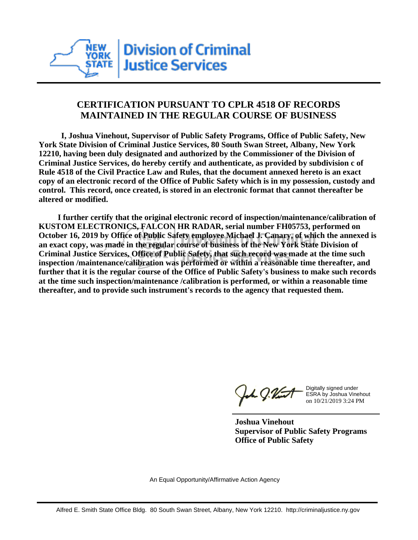

## **CERTIFICATION PURSUANT TO CPLR 4518 OF RECORDS MAINTAINED IN THE REGULAR COURSE OF BUSINESS**

 **I, Joshua Vinehout, Supervisor of Public Safety Programs, Office of Public Safety, New York State Division of Criminal Justice Services, 80 South Swan Street, Albany, New York 12210, having been duly designated and authorized by the Commissioner of the Division of Criminal Justice Services, do hereby certify and authenticate, as provided by subdivision c of Rule 4518 of the Civil Practice Law and Rules, that the document annexed hereto is an exact copy of an electronic record of the Office of Public Safety which is in my possession, custody and control. This record, once created, is stored in an electronic format that cannot thereafter be altered or modified.**

 **I further certify that the original electronic record of inspection/maintenance/calibration of KUSTOM ELECTRONICS, FALCON HR RADAR, serial number FH05753, performed on October 16, 2019 by Office of Public Safety employee Michael J. Canary, of which the annexed is an exact copy, was made in the regular course of business of the New York State Division of Criminal Justice Services, Office of Public Safety, that such record was made at the time such inspection /maintenance/calibration was performed or within a reasonable time thereafter, and further that it is the regular course of the Office of Public Safety's business to make such records at the time such inspection/maintenance /calibration is performed, or within a reasonable time thereafter, and to provide such instrument's records to the agency that requested them.**

the g. Vint

Digitally signed under ESRA by Joshua Vinehout on 10/21/2019 3:24 PM

**Joshua Vinehout Supervisor of Public Safety Programs Office of Public Safety**

An Equal Opportunity/Affirmative Action Agency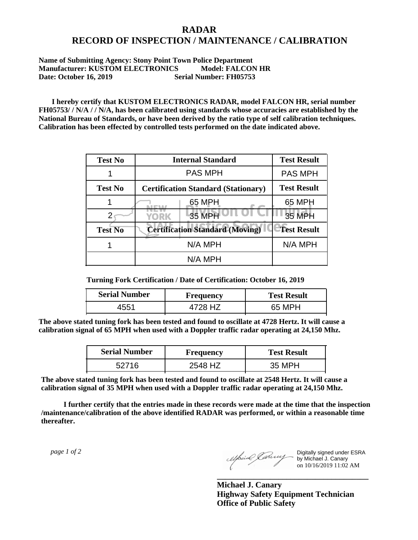## **RADAR RECORD OF INSPECTION / MAINTENANCE / CALIBRATION**

## **Name of Submitting Agency: Stony Point Town Police Department Manufacturer: KUSTOM ELECTRONICS Model: FALCON HR Date: October 16, 2019 Serial Number: FH05753**

 **I hereby certify that KUSTOM ELECTRONICS RADAR, model FALCON HR, serial number FH05753/ / N/A / / N/A, has been calibrated using standards whose accuracies are established by the National Bureau of Standards, or have been derived by the ratio type of self calibration techniques. Calibration has been effected by controlled tests performed on the date indicated above.**

| <b>Test No</b> | <b>Internal Standard</b>                   | <b>Test Result</b> |
|----------------|--------------------------------------------|--------------------|
|                | <b>PAS MPH</b>                             | <b>PAS MPH</b>     |
| <b>Test No</b> | <b>Certification Standard (Stationary)</b> | <b>Test Result</b> |
|                | 65 MPH                                     | 65 MPH             |
|                | 35 MPH<br><b>YORK</b>                      | <b>35 MPH</b>      |
| <b>Test No</b> | <b>Certification Standard (Moving)</b>     | <b>Test Result</b> |
|                | N/A MPH                                    | N/A MPH            |
|                | N/A MPH                                    |                    |

**Turning Fork Certification / Date of Certification: October 16, 2019**

| <b>Serial Number</b> | <b>Frequency</b> | <b>Test Result</b> |
|----------------------|------------------|--------------------|
| +551                 |                  | 65 MPH             |

**The above stated tuning fork has been tested and found to oscillate at 4728 Hertz. It will cause a calibration signal of 65 MPH when used with a Doppler traffic radar operating at 24,150 Mhz.**

| <b>Serial Number</b> | Frequency | <b>Test Result</b> |
|----------------------|-----------|--------------------|
| 52716                | 2548 HZ   | 35 MPH             |

**The above stated tuning fork has been tested and found to oscillate at 2548 Hertz. It will cause a calibration signal of 35 MPH when used with a Doppler traffic radar operating at 24,150 Mhz.**

 **I further certify that the entries made in these records were made at the time that the inspection /maintenance/calibration of the above identified RADAR was performed, or within a reasonable time thereafter.**

 *page 1 of 2* 

Digitally signed under ESRA by Michael J. Canary on 10/16/2019 11:02 AM

**Michael J. Canary Highway Safety Equipment Technician Office of Public Safety**

**\_\_\_\_\_\_\_\_\_\_\_\_\_\_\_\_\_\_\_\_\_\_\_\_\_\_\_\_\_\_\_\_\_\_\_\_\_**